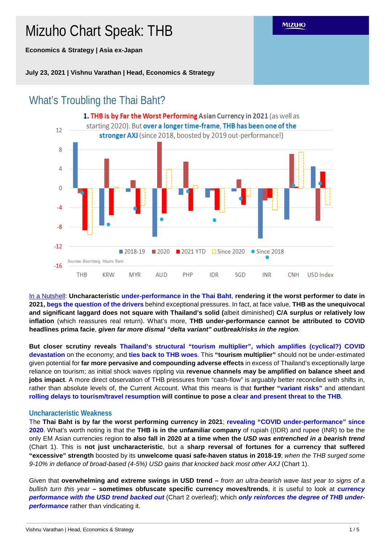Mizuho Chart Speak: THB

**Economics & Strategy | Asia ex-Japan**

**July 23, 2021 | Vishnu Varathan | Head, Economics & Strategy**



In a Nutshell: **Uncharacteristic under-performance in the Thai Baht**, **rendering it the worst performer to date in 2021, begs the question of the drivers** behind exceptional pressures. In fact, at face value, **THB as the unequivocal and significant laggard does not square with Thailand's solid (**albeit diminished) **C/A surplus or relatively low inflation** (which reassures real return). What's more, **THB under-performance cannot be attributed to COVID headlines prima facie**, *given far more dismal "delta variant" outbreak/risks in the region.*

**But closer scrutiny reveals Thailand's structural "tourism multiplier", which amplifies (cyclical?) COVID devastation** on the economy; and **ties back to THB woes**. This **"tourism multiplier"** should not be under-estimated given potential for **far more pervasive and compounding adverse effects** in excess of Thailand's exceptionally large reliance on tourism; as initial shock waves rippling via **revenue channels may be amplified on balance sheet and jobs impact**. A more direct observation of THB pressures from "cash-flow" is arguably better reconciled with shifts in, rather than absolute levels of, the Current Account. What this means is that **further "variant risks"** and attendant **rolling delays to tourism/travel resumption will continue to pose a clear and present threat to the THB**.

# **Uncharacteristic Weakness**

The **Thai Baht is by far the worst performing currency in 2021**; **revealing "COVID under-performance" since 2020**. What's worth noting is that the **THB is in the unfamiliar company** of rupiah ((IDR) and rupee (INR) to be the only EM Asian currencies region **to also fall in 2020 at a time when the** *USD was entrenched in a bearish trend* (Chart 1). This is **not just uncharacteristic**, but a **sharp reversal of fortunes for a currency that suffered "excessive" strength** boosted by its **unwelcome quasi safe-haven status in 2018-19**; *when the THB surged some 9-10% in defiance of broad-based (4-5%) USD gains that knocked back most other AXJ* (Chart 1).

Given that **overwhelming and extreme swings in USD trend –** *from an ultra-bearish wave last year to signs of a bullish turn this year* **– sometimes obfuscate specific currency moves/trends**, it is useful to look at *currency performance with the USD trend backed out* (Chart 2 overleaf); which *only reinforces the degree of THB under***performance** rather than vindicating it.

Vishnu Varathan | Head, Economics & Strategy 1 / 5

**MIZUHO**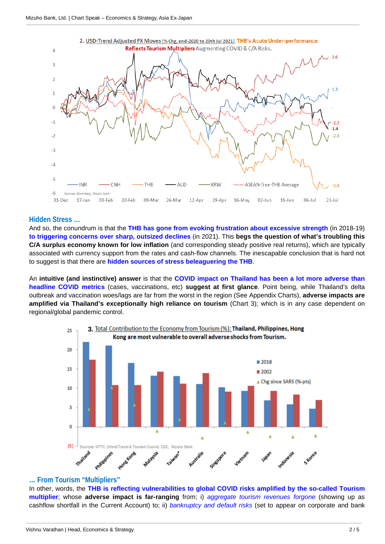

## **Hidden Stress …**

And so, the conundrum is that the **THB has gone from evoking frustration about excessive strength** (in 2018-19) **to triggering concerns over sharp, outsized declines** (in 2021). This **begs the question of what's troubling this C/A surplus economy known for low inflation** (and corresponding steady positive real returns), which are typically associated with currency support from the rates and cash-flow channels. The inescapable conclusion that is hard not to suggest is that there are **hidden sources of stress beleaguering the THB**.

An **intuitive (and instinctive) answer** is that the **COVID impact on Thailand has been a lot more adverse than headline COVID metrics** (cases, vaccinations, etc) **suggest at first glance**. Point being, while Thailand's delta outbreak and vaccination woes/lags are far from the worst in the region (See Appendix Charts), **adverse impacts are amplified via Thailand's exceptionally high reliance on tourism** (Chart 3); which is in any case dependent on regional/global pandemic control.



## **… From Tourism "Multipliers"**

In other, words, the **THB is reflecting vulnerabilities to global COVID risks amplified by the so-called Tourism multiplier**; whose **adverse impact is far-ranging** from; i) *aggregate tourism revenues forgone* (showing up as cashflow shortfall in the Current Account) to; ii) *bankruptcy and default risks* (set to appear on corporate and bank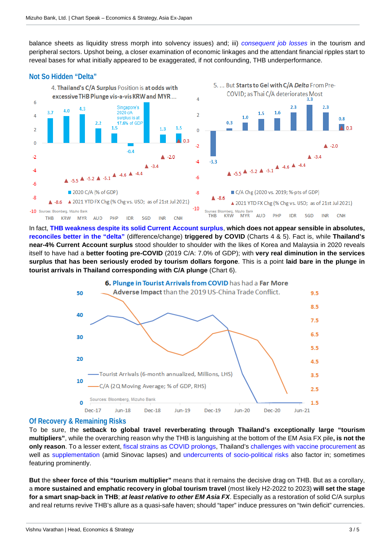balance sheets as liquidity stress morph into solvency issues) and; iii) *consequent job losses* in the tourism and peripheral sectors. Upshot being, a closer examination of economic linkages and the attendant financial ripples start to reveal bases for what initially appeared to be exaggerated, if not confounding, THB underperformance.

# **Not So Hidden "Delta"**



In fact, **THB weakness despite its solid Current Account surplus**, **which does not appear sensible in absolutes, reconciles better in the "delta"** (difference/change) **triggered by COVID** (Charts 4 & 5). Fact is, while **Thailand's near-4% Current Account surplus** stood shoulder to shoulder with the likes of Korea and Malaysia in 2020 reveals itself to have had a **better footing pre-COVID** (2019 C/A: 7.0% of GDP); with **very real diminution in the services surplus that has been seriously eroded by tourism dollars forgone**. This is a point **laid bare in the plunge in tourist arrivals in Thailand corresponding with C/A plunge** (Chart 6).



# **Of Recovery & Remaining Risks**

To be sure, the **setback to global travel reverberating through Thailand's exceptionally large "tourism multipliers"**, while the overarching reason why the THB is languishing at the bottom of the EM Asia FX pile**, is not the only reason**. To a lesser extent, fiscal strains as COVID prolongs, Thailand's challenges with vaccine procurement as well as supplementation (amid Sinovac lapses) and undercurrents of socio-political risks also factor in; sometimes featuring prominently.

**But** the **sheer force of this "tourism multiplier"** means that it remains the decisive drag on THB. But as a corollary, a **more sustained and emphatic recovery in global tourism travel** (most likely H2-2022 to 2023) **will set the stage for a smart snap-back in THB**; *at least relative to other EM Asia FX*. Especially as a restoration of solid C/A surplus and real returns revive THB's allure as a quasi-safe haven; should "taper" induce pressures on "twin deficit" currencies.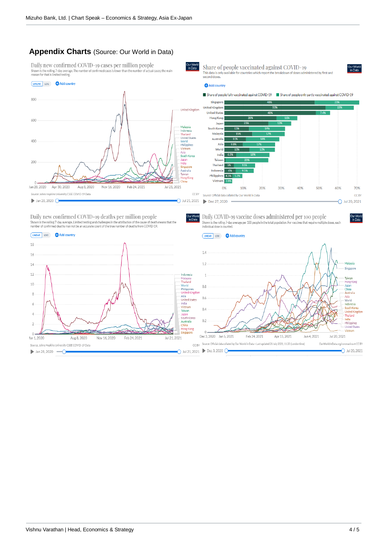# **Appendix Charts** (Source: Our World in Data)

Daily new confirmed COVID-19 cases per million people Shown is the rolling 7-day average. The number of confirmed cases is<br>reason for that is limited testing.

## LINEAR LOG Add country



Daily new confirmed COVID-19 deaths per million people Shown is the rolling 7-day average. Limited testing and challenges in the attribution of the cause of death m<br>number of confirmed deaths may not be an accurate count of the true number of deaths from COVID-19. ans that the





Daily COVID-19 vaccine doses administered per 100 people Our World<br>in Data Shown is the rolling 7-day average per 100 people in the total population. For vaccines that require multiple doses, each<br>individual dose is counted.

Share of people vaccinated against COVID-19

This data is only available for countries which report the breakdown of doses administered by first and<br>second doses.





## .<br>In Data<br>In Data

Jur Worl<br>in Data